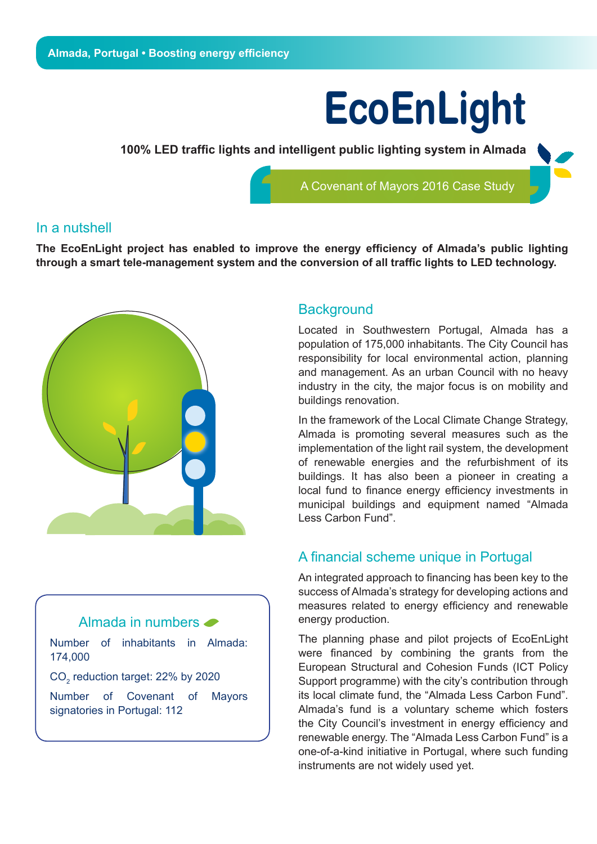# **EcoEnLight**

**100% LED traffic lights and intelligent public lighting system in Almada** 

A Covenant of Mayors 2016 Case Study

### In a nutshell

**The EcoEnLight project has enabled to improve the energy efficiency of Almada's public lighting through a smart tele-management system and the conversion of all traffic lights to LED technology.**



## Almada in numbers

Number of inhabitants in Almada: 174,000

 $\mathsf{CO}_2^{}$  reduction target: 22% by 2020

Number of Covenant of Mayors signatories in Portugal: 112

#### **Background**

Located in Southwestern Portugal, Almada has a population of 175,000 inhabitants. The City Council has responsibility for local environmental action, planning and management. As an urban Council with no heavy industry in the city, the major focus is on mobility and buildings renovation.

In the framework of the Local Climate Change Strategy, Almada is promoting several measures such as the implementation of the light rail system, the development of renewable energies and the refurbishment of its buildings. It has also been a pioneer in creating a local fund to finance energy efficiency investments in municipal buildings and equipment named "Almada Less Carbon Fund".

## A financial scheme unique in Portugal

An integrated approach to financing has been key to the success of Almada's strategy for developing actions and measures related to energy efficiency and renewable energy production.

The planning phase and pilot projects of EcoEnLight were financed by combining the grants from the European Structural and Cohesion Funds (ICT Policy Support programme) with the city's contribution through its local climate fund, the "Almada Less Carbon Fund". Almada's fund is a voluntary scheme which fosters the City Council's investment in energy efficiency and renewable energy. The "Almada Less Carbon Fund" is a one-of-a-kind initiative in Portugal, where such funding instruments are not widely used yet.